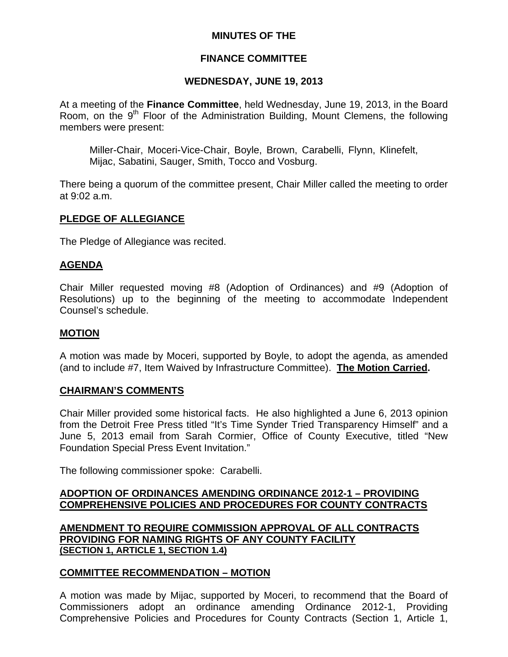## **MINUTES OF THE**

### **FINANCE COMMITTEE**

### **WEDNESDAY, JUNE 19, 2013**

At a meeting of the **Finance Committee**, held Wednesday, June 19, 2013, in the Board Room, on the  $9<sup>th</sup>$  Floor of the Administration Building, Mount Clemens, the following members were present:

Miller-Chair, Moceri-Vice-Chair, Boyle, Brown, Carabelli, Flynn, Klinefelt, Mijac, Sabatini, Sauger, Smith, Tocco and Vosburg.

There being a quorum of the committee present, Chair Miller called the meeting to order at 9:02 a.m.

### **PLEDGE OF ALLEGIANCE**

The Pledge of Allegiance was recited.

### **AGENDA**

Chair Miller requested moving #8 (Adoption of Ordinances) and #9 (Adoption of Resolutions) up to the beginning of the meeting to accommodate Independent Counsel's schedule.

### **MOTION**

A motion was made by Moceri, supported by Boyle, to adopt the agenda, as amended (and to include #7, Item Waived by Infrastructure Committee). **The Motion Carried.** 

### **CHAIRMAN'S COMMENTS**

Chair Miller provided some historical facts. He also highlighted a June 6, 2013 opinion from the Detroit Free Press titled "It's Time Synder Tried Transparency Himself" and a June 5, 2013 email from Sarah Cormier, Office of County Executive, titled "New Foundation Special Press Event Invitation."

The following commissioner spoke: Carabelli.

### **ADOPTION OF ORDINANCES AMENDING ORDINANCE 2012-1 – PROVIDING COMPREHENSIVE POLICIES AND PROCEDURES FOR COUNTY CONTRACTS**

**AMENDMENT TO REQUIRE COMMISSION APPROVAL OF ALL CONTRACTS PROVIDING FOR NAMING RIGHTS OF ANY COUNTY FACILITY (SECTION 1, ARTICLE 1, SECTION 1.4)**

### **COMMITTEE RECOMMENDATION – MOTION**

A motion was made by Mijac, supported by Moceri, to recommend that the Board of Commissioners adopt an ordinance amending Ordinance 2012-1, Providing Comprehensive Policies and Procedures for County Contracts (Section 1, Article 1,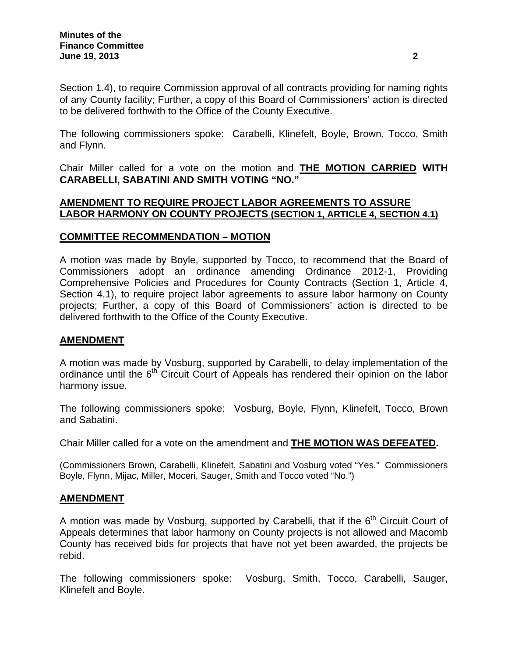Section 1.4), to require Commission approval of all contracts providing for naming rights of any County facility; Further, a copy of this Board of Commissioners' action is directed to be delivered forthwith to the Office of the County Executive.

The following commissioners spoke: Carabelli, Klinefelt, Boyle, Brown, Tocco, Smith and Flynn.

Chair Miller called for a vote on the motion and **THE MOTION CARRIED WITH CARABELLI, SABATINI AND SMITH VOTING "NO."** 

### **AMENDMENT TO REQUIRE PROJECT LABOR AGREEMENTS TO ASSURE LABOR HARMONY ON COUNTY PROJECTS (SECTION 1, ARTICLE 4, SECTION 4.1)**

## **COMMITTEE RECOMMENDATION – MOTION**

A motion was made by Boyle, supported by Tocco, to recommend that the Board of Commissioners adopt an ordinance amending Ordinance 2012-1, Providing Comprehensive Policies and Procedures for County Contracts (Section 1, Article 4, Section 4.1), to require project labor agreements to assure labor harmony on County projects; Further, a copy of this Board of Commissioners' action is directed to be delivered forthwith to the Office of the County Executive.

## **AMENDMENT**

A motion was made by Vosburg, supported by Carabelli, to delay implementation of the ordinance until the 6<sup>th</sup> Circuit Court of Appeals has rendered their opinion on the labor harmony issue.

The following commissioners spoke: Vosburg, Boyle, Flynn, Klinefelt, Tocco, Brown and Sabatini.

Chair Miller called for a vote on the amendment and **THE MOTION WAS DEFEATED.** 

(Commissioners Brown, Carabelli, Klinefelt, Sabatini and Vosburg voted "Yes." Commissioners Boyle, Flynn, Mijac, Miller, Moceri, Sauger, Smith and Tocco voted "No.")

## **AMENDMENT**

A motion was made by Vosburg, supported by Carabelli, that if the  $6<sup>th</sup>$  Circuit Court of Appeals determines that labor harmony on County projects is not allowed and Macomb County has received bids for projects that have not yet been awarded, the projects be rebid.

The following commissioners spoke: Vosburg, Smith, Tocco, Carabelli, Sauger, Klinefelt and Boyle.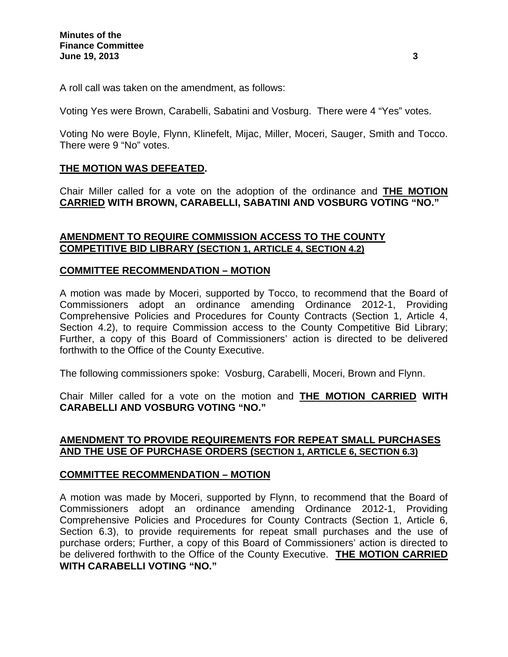A roll call was taken on the amendment, as follows:

Voting Yes were Brown, Carabelli, Sabatini and Vosburg. There were 4 "Yes" votes.

Voting No were Boyle, Flynn, Klinefelt, Mijac, Miller, Moceri, Sauger, Smith and Tocco. There were 9 "No" votes.

## **THE MOTION WAS DEFEATED.**

Chair Miller called for a vote on the adoption of the ordinance and **THE MOTION CARRIED WITH BROWN, CARABELLI, SABATINI AND VOSBURG VOTING "NO."** 

## **AMENDMENT TO REQUIRE COMMISSION ACCESS TO THE COUNTY COMPETITIVE BID LIBRARY (SECTION 1, ARTICLE 4, SECTION 4.2)**

## **COMMITTEE RECOMMENDATION – MOTION**

A motion was made by Moceri, supported by Tocco, to recommend that the Board of Commissioners adopt an ordinance amending Ordinance 2012-1, Providing Comprehensive Policies and Procedures for County Contracts (Section 1, Article 4, Section 4.2), to require Commission access to the County Competitive Bid Library; Further, a copy of this Board of Commissioners' action is directed to be delivered forthwith to the Office of the County Executive.

The following commissioners spoke: Vosburg, Carabelli, Moceri, Brown and Flynn.

Chair Miller called for a vote on the motion and **THE MOTION CARRIED WITH CARABELLI AND VOSBURG VOTING "NO."** 

## **AMENDMENT TO PROVIDE REQUIREMENTS FOR REPEAT SMALL PURCHASES AND THE USE OF PURCHASE ORDERS (SECTION 1, ARTICLE 6, SECTION 6.3)**

## **COMMITTEE RECOMMENDATION – MOTION**

A motion was made by Moceri, supported by Flynn, to recommend that the Board of Commissioners adopt an ordinance amending Ordinance 2012-1, Providing Comprehensive Policies and Procedures for County Contracts (Section 1, Article 6, Section 6.3), to provide requirements for repeat small purchases and the use of purchase orders; Further, a copy of this Board of Commissioners' action is directed to be delivered forthwith to the Office of the County Executive. **THE MOTION CARRIED WITH CARABELLI VOTING "NO."**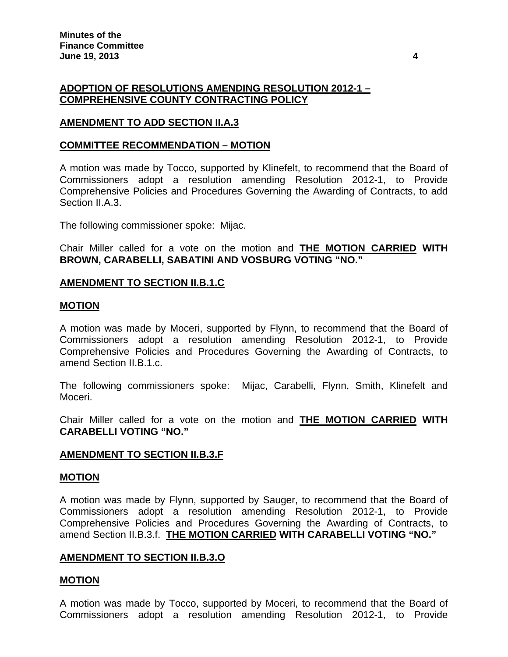## **ADOPTION OF RESOLUTIONS AMENDING RESOLUTION 2012-1 – COMPREHENSIVE COUNTY CONTRACTING POLICY**

## **AMENDMENT TO ADD SECTION II.A.3**

### **COMMITTEE RECOMMENDATION – MOTION**

A motion was made by Tocco, supported by Klinefelt, to recommend that the Board of Commissioners adopt a resolution amending Resolution 2012-1, to Provide Comprehensive Policies and Procedures Governing the Awarding of Contracts, to add Section II.A.3.

The following commissioner spoke: Mijac.

Chair Miller called for a vote on the motion and **THE MOTION CARRIED WITH BROWN, CARABELLI, SABATINI AND VOSBURG VOTING "NO."** 

### **AMENDMENT TO SECTION II.B.1.C**

#### **MOTION**

A motion was made by Moceri, supported by Flynn, to recommend that the Board of Commissioners adopt a resolution amending Resolution 2012-1, to Provide Comprehensive Policies and Procedures Governing the Awarding of Contracts, to amend Section II.B.1.c.

The following commissioners spoke: Mijac, Carabelli, Flynn, Smith, Klinefelt and Moceri.

Chair Miller called for a vote on the motion and **THE MOTION CARRIED WITH CARABELLI VOTING "NO."** 

### **AMENDMENT TO SECTION II.B.3.F**

#### **MOTION**

A motion was made by Flynn, supported by Sauger, to recommend that the Board of Commissioners adopt a resolution amending Resolution 2012-1, to Provide Comprehensive Policies and Procedures Governing the Awarding of Contracts, to amend Section II.B.3.f. **THE MOTION CARRIED WITH CARABELLI VOTING "NO."**

### **AMENDMENT TO SECTION II.B.3.O**

### **MOTION**

A motion was made by Tocco, supported by Moceri, to recommend that the Board of Commissioners adopt a resolution amending Resolution 2012-1, to Provide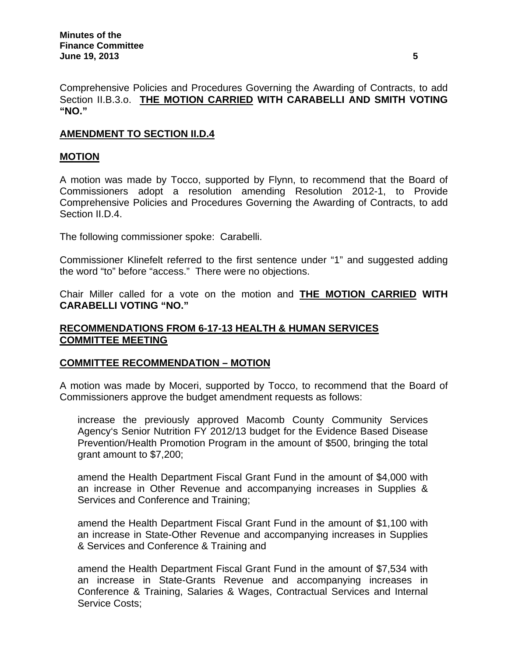Comprehensive Policies and Procedures Governing the Awarding of Contracts, to add Section II.B.3.o. **THE MOTION CARRIED WITH CARABELLI AND SMITH VOTING "NO."**

# **AMENDMENT TO SECTION II.D.4**

## **MOTION**

A motion was made by Tocco, supported by Flynn, to recommend that the Board of Commissioners adopt a resolution amending Resolution 2012-1, to Provide Comprehensive Policies and Procedures Governing the Awarding of Contracts, to add Section II.D.4.

The following commissioner spoke: Carabelli.

Commissioner Klinefelt referred to the first sentence under "1" and suggested adding the word "to" before "access." There were no objections.

Chair Miller called for a vote on the motion and **THE MOTION CARRIED WITH CARABELLI VOTING "NO."**

## **RECOMMENDATIONS FROM 6-17-13 HEALTH & HUMAN SERVICES COMMITTEE MEETING**

## **COMMITTEE RECOMMENDATION – MOTION**

A motion was made by Moceri, supported by Tocco, to recommend that the Board of Commissioners approve the budget amendment requests as follows:

increase the previously approved Macomb County Community Services Agency's Senior Nutrition FY 2012/13 budget for the Evidence Based Disease Prevention/Health Promotion Program in the amount of \$500, bringing the total grant amount to \$7,200;

amend the Health Department Fiscal Grant Fund in the amount of \$4,000 with an increase in Other Revenue and accompanying increases in Supplies & Services and Conference and Training;

amend the Health Department Fiscal Grant Fund in the amount of \$1,100 with an increase in State-Other Revenue and accompanying increases in Supplies & Services and Conference & Training and

amend the Health Department Fiscal Grant Fund in the amount of \$7,534 with an increase in State-Grants Revenue and accompanying increases in Conference & Training, Salaries & Wages, Contractual Services and Internal Service Costs;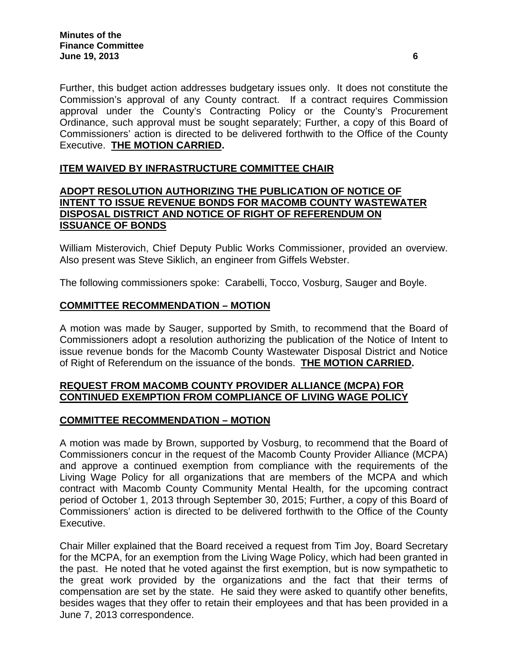Further, this budget action addresses budgetary issues only. It does not constitute the Commission's approval of any County contract. If a contract requires Commission approval under the County's Contracting Policy or the County's Procurement Ordinance, such approval must be sought separately; Further, a copy of this Board of Commissioners' action is directed to be delivered forthwith to the Office of the County Executive. **THE MOTION CARRIED.** 

## **ITEM WAIVED BY INFRASTRUCTURE COMMITTEE CHAIR**

### **ADOPT RESOLUTION AUTHORIZING THE PUBLICATION OF NOTICE OF INTENT TO ISSUE REVENUE BONDS FOR MACOMB COUNTY WASTEWATER DISPOSAL DISTRICT AND NOTICE OF RIGHT OF REFERENDUM ON ISSUANCE OF BONDS**

William Misterovich, Chief Deputy Public Works Commissioner, provided an overview. Also present was Steve Siklich, an engineer from Giffels Webster.

The following commissioners spoke: Carabelli, Tocco, Vosburg, Sauger and Boyle.

# **COMMITTEE RECOMMENDATION – MOTION**

A motion was made by Sauger, supported by Smith, to recommend that the Board of Commissioners adopt a resolution authorizing the publication of the Notice of Intent to issue revenue bonds for the Macomb County Wastewater Disposal District and Notice of Right of Referendum on the issuance of the bonds. **THE MOTION CARRIED.** 

## **REQUEST FROM MACOMB COUNTY PROVIDER ALLIANCE (MCPA) FOR CONTINUED EXEMPTION FROM COMPLIANCE OF LIVING WAGE POLICY**

## **COMMITTEE RECOMMENDATION – MOTION**

A motion was made by Brown, supported by Vosburg, to recommend that the Board of Commissioners concur in the request of the Macomb County Provider Alliance (MCPA) and approve a continued exemption from compliance with the requirements of the Living Wage Policy for all organizations that are members of the MCPA and which contract with Macomb County Community Mental Health, for the upcoming contract period of October 1, 2013 through September 30, 2015; Further, a copy of this Board of Commissioners' action is directed to be delivered forthwith to the Office of the County Executive.

Chair Miller explained that the Board received a request from Tim Joy, Board Secretary for the MCPA, for an exemption from the Living Wage Policy, which had been granted in the past. He noted that he voted against the first exemption, but is now sympathetic to the great work provided by the organizations and the fact that their terms of compensation are set by the state. He said they were asked to quantify other benefits, besides wages that they offer to retain their employees and that has been provided in a June 7, 2013 correspondence.